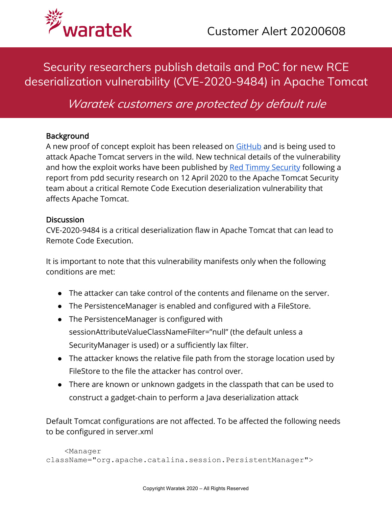

# Security researchers publish details and PoC for new RCE deserialization vulnerability (CVE-2020-9484) in Apache Tomcat

Waratek customers are protected by default rule

#### **Background**

A new proof of concept exploit has been released on GitHub and is being used to attack Apache Tomcat servers in the wild. New technical details of the vulnerability and how the exploit works have been published by Red Timmy Security following a report from pdd security research on 12 April 2020 to the Apache Tomcat Security team about a critical Remote Code Execution deserialization vulnerability that affects Apache Tomcat.

#### **Discussion**

CVE-2020-9484 is a critical deserialization flaw in Apache Tomcat that can lead to Remote Code Execution.

It is important to note that this vulnerability manifests only when the following conditions are met:

- The attacker can take control of the contents and filename on the server.
- The PersistenceManager is enabled and configured with a FileStore.
- The PersistenceManager is configured with sessionAttributeValueClassNameFilter="null" (the default unless a SecurityManager is used) or a sufficiently lax filter.
- The attacker knows the relative file path from the storage location used by FileStore to the file the attacker has control over.
- There are known or unknown gadgets in the classpath that can be used to construct a gadget-chain to perform a Java deserialization attack

Default Tomcat configurations are not affected. To be affected the following needs to be configured in server.xml

```
 <Manager 
className="org.apache.catalina.session.PersistentManager">
```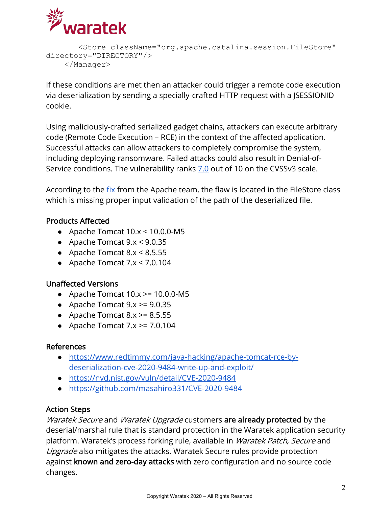

```
 <Store className="org.apache.catalina.session.FileStore" 
directory="DIRECTORY"/>
     </Manager>
```
If these conditions are met then an attacker could trigger a remote code execution via deserialization by sending a specially-crafted HTTP request with a JSESSIONID cookie.

Using maliciously-crafted serialized gadget chains, attackers can execute arbitrary code (Remote Code Execution – RCE) in the context of the affected application. Successful attacks can allow attackers to completely compromise the system, including deploying ransomware. Failed attacks could also result in Denial-of-Service conditions. The vulnerability ranks 7.0 out of 10 on the CVSSv3 scale.

According to the fix from the Apache team, the flaw is located in the FileStore class which is missing proper input validation of the path of the deserialized file.

## Products Affected

- Apache Tomcat  $10.x < 10.0.0$ -M5
- Apache Tomcat  $9 \times 9.0.35$
- Apache Tomcat  $8 \times 8.5.55$
- Apache Tomcat  $7 \times 7.0.104$

## Unaffected Versions

- $\bullet$  Apache Tomcat 10.x >= 10.0.0-M5
- Apache Tomcat  $9 \times \ge 9.0.35$
- Apache Tomcat  $8 \times \ge 8.5.55$
- Apache Tomcat  $7.x \ge 7.0.104$

## References

- https://www.redtimmy.com/java-hacking/apache-tomcat-rce-bydeserialization-cve-2020-9484-write-up-and-exploit/
- https://nvd.nist.gov/vuln/detail/CVE-2020-9484
- https://github.com/masahiro331/CVE-2020-9484

# Action Steps

Waratek Secure and Waratek Upgrade customers are already protected by the deserial/marshal rule that is standard protection in the Waratek application security platform. Waratek's process forking rule, available in Waratek Patch, Secure and Upgrade also mitigates the attacks. Waratek Secure rules provide protection against known and zero-day attacks with zero configuration and no source code changes.